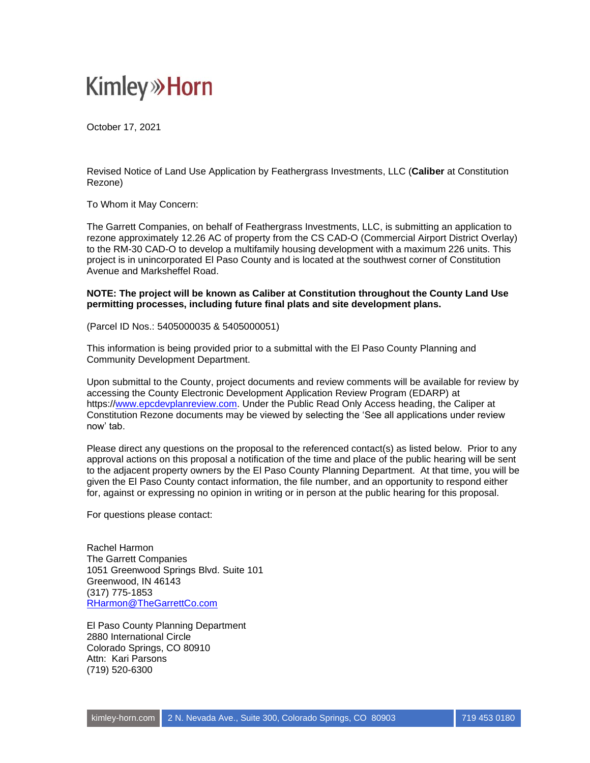## **Kimley»Horn**

October 17, 2021

Revised Notice of Land Use Application by Feathergrass Investments, LLC (**Caliber** at Constitution Rezone)

To Whom it May Concern:

The Garrett Companies, on behalf of Feathergrass Investments, LLC, is submitting an application to rezone approximately 12.26 AC of property from the CS CAD-O (Commercial Airport District Overlay) to the RM-30 CAD-O to develop a multifamily housing development with a maximum 226 units. This project is in unincorporated El Paso County and is located at the southwest corner of Constitution Avenue and Marksheffel Road.

**NOTE: The project will be known as Caliber at Constitution throughout the County Land Use permitting processes, including future final plats and site development plans.**

(Parcel ID Nos.: 5405000035 & 5405000051)

This information is being provided prior to a submittal with the El Paso County Planning and Community Development Department.

Upon submittal to the County, project documents and review comments will be available for review by accessing the County Electronic Development Application Review Program (EDARP) at https:/[/www.epcdevplanreview.com.](http://www.epcdevplanreview.com/) Under the Public Read Only Access heading, the Caliper at Constitution Rezone documents may be viewed by selecting the 'See all applications under review now' tab.

Please direct any questions on the proposal to the referenced contact(s) as listed below. Prior to any approval actions on this proposal a notification of the time and place of the public hearing will be sent to the adjacent property owners by the El Paso County Planning Department. At that time, you will be given the El Paso County contact information, the file number, and an opportunity to respond either for, against or expressing no opinion in writing or in person at the public hearing for this proposal.

For questions please contact:

Rachel Harmon The Garrett Companies 1051 Greenwood Springs Blvd. Suite 101 Greenwood, IN 46143 (317) 775-1853 [RHarmon@TheGarrettCo.com](mailto:RHarmon@TheGarrettCo.com)

El Paso County Planning Department 2880 International Circle Colorado Springs, CO 80910 Attn: Kari Parsons (719) 520-6300